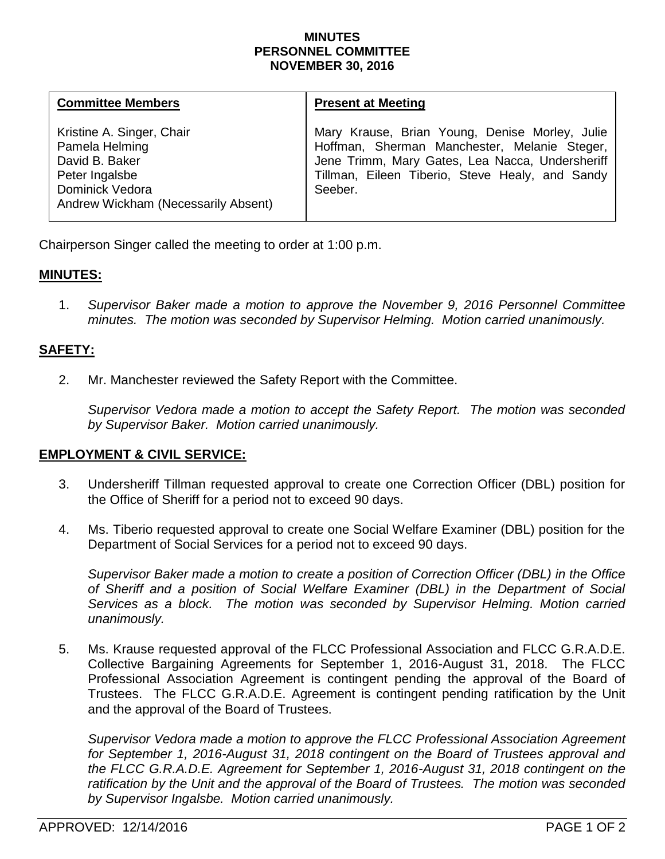#### **MINUTES PERSONNEL COMMITTEE NOVEMBER 30, 2016**

| <b>Committee Members</b>                                                                                                                  | <b>Present at Meeting</b>                                                                                                                                                                                       |
|-------------------------------------------------------------------------------------------------------------------------------------------|-----------------------------------------------------------------------------------------------------------------------------------------------------------------------------------------------------------------|
| Kristine A. Singer, Chair<br>Pamela Helming<br>David B. Baker<br>Peter Ingalsbe<br>Dominick Vedora<br>Andrew Wickham (Necessarily Absent) | Mary Krause, Brian Young, Denise Morley, Julie<br>Hoffman, Sherman Manchester, Melanie Steger,<br>Jene Trimm, Mary Gates, Lea Nacca, Undersheriff<br>Tillman, Eileen Tiberio, Steve Healy, and Sandy<br>Seeber. |

Chairperson Singer called the meeting to order at 1:00 p.m.

## **MINUTES:**

1. *Supervisor Baker made a motion to approve the November 9, 2016 Personnel Committee minutes. The motion was seconded by Supervisor Helming. Motion carried unanimously.*

# **SAFETY:**

2. Mr. Manchester reviewed the Safety Report with the Committee.

*Supervisor Vedora made a motion to accept the Safety Report. The motion was seconded by Supervisor Baker. Motion carried unanimously.*

## **EMPLOYMENT & CIVIL SERVICE:**

- 3. Undersheriff Tillman requested approval to create one Correction Officer (DBL) position for the Office of Sheriff for a period not to exceed 90 days.
- 4. Ms. Tiberio requested approval to create one Social Welfare Examiner (DBL) position for the Department of Social Services for a period not to exceed 90 days.

*Supervisor Baker made a motion to create a position of Correction Officer (DBL) in the Office of Sheriff and a position of Social Welfare Examiner (DBL) in the Department of Social Services as a block. The motion was seconded by Supervisor Helming. Motion carried unanimously.*

5. Ms. Krause requested approval of the FLCC Professional Association and FLCC G.R.A.D.E. Collective Bargaining Agreements for September 1, 2016-August 31, 2018. The FLCC Professional Association Agreement is contingent pending the approval of the Board of Trustees. The FLCC G.R.A.D.E. Agreement is contingent pending ratification by the Unit and the approval of the Board of Trustees.

*Supervisor Vedora made a motion to approve the FLCC Professional Association Agreement for September 1, 2016-August 31, 2018 contingent on the Board of Trustees approval and the FLCC G.R.A.D.E. Agreement for September 1, 2016-August 31, 2018 contingent on the ratification by the Unit and the approval of the Board of Trustees. The motion was seconded by Supervisor Ingalsbe. Motion carried unanimously.*